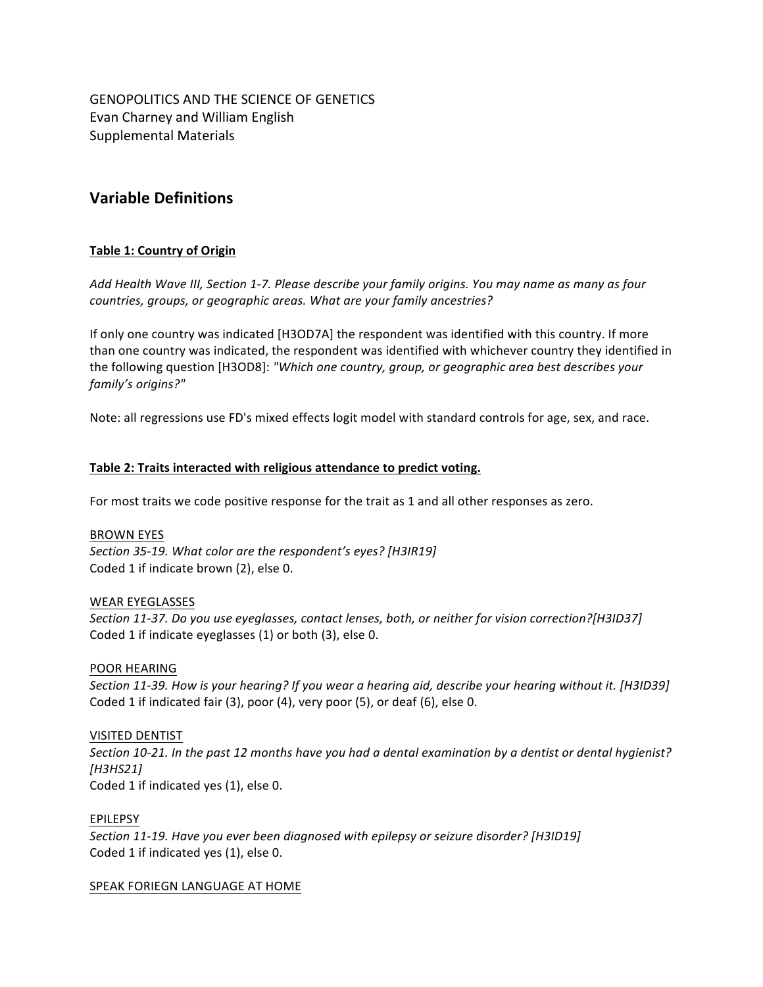GENOPOLITICS AND THE SCIENCE OF GENETICS Evan Charney and William English Supplemental Materials

# **Variable Definitions**

# **Table 1: Country of Origin**

Add Health Wave III, Section 1-7. Please describe your family origins. You may name as many as four countries, groups, or geographic areas. What are your family ancestries?

If only one country was indicated [H3OD7A] the respondent was identified with this country. If more than one country was indicated, the respondent was identified with whichever country they identified in the following question [H3OD8]: "Which one country, group, or geographic area best describes your family's origins?"

Note: all regressions use FD's mixed effects logit model with standard controls for age, sex, and race.

#### Table 2: Traits interacted with religious attendance to predict voting.

For most traits we code positive response for the trait as 1 and all other responses as zero.

#### **BROWN EYES**

Section 35-19. What color are the respondent's eyes? [H3IR19] Coded 1 if indicate brown (2), else 0.

#### WEAR EYEGLASSES

*Section 11-37. Do you use eyeglasses, contact lenses, both, or neither for vision correction?[H3ID37]* Coded 1 if indicate eyeglasses  $(1)$  or both  $(3)$ , else 0.

## POOR HEARING

Section 11-39. How is your hearing? If you wear a hearing aid, describe your hearing without it. [H3ID39] Coded 1 if indicated fair (3), poor (4), very poor (5), or deaf (6), else 0.

## VISITED DENTIST

Section 10-21. In the past 12 months have you had a dental examination by a dentist or dental hygienist? *[H3HS21]* Coded 1 if indicated yes (1), else 0.

#### EPILEPSY

Section 11-19. Have you ever been diagnosed with epilepsy or seizure disorder? [H3ID19] Coded 1 if indicated yes (1), else 0.

#### SPEAK FORIEGN LANGUAGE AT HOME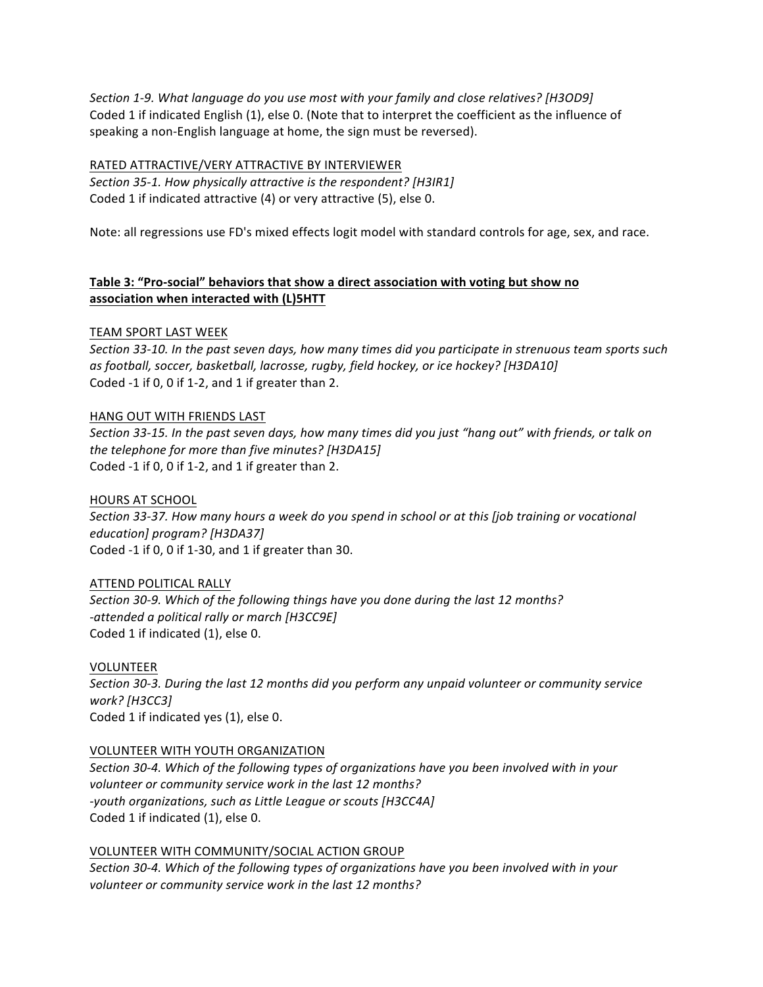Section 1-9. What language do you use most with your family and close relatives? [H3OD9] Coded 1 if indicated English (1), else 0. (Note that to interpret the coefficient as the influence of speaking a non-English language at home, the sign must be reversed).

## RATED ATTRACTIVE/VERY ATTRACTIVE BY INTERVIEWER

Section 35-1. How physically attractive is the respondent? [H3IR1] Coded 1 if indicated attractive (4) or very attractive (5), else 0.

Note: all regressions use FD's mixed effects logit model with standard controls for age, sex, and race.

# **Table 3: "Pro-social" behaviors that show a direct association with voting but show no association when interacted with (L)5HTT**

# TEAM SPORT LAST WEEK

Section 33-10. In the past seven days, how many times did you participate in strenuous team sports such *as football, soccer, basketball, lacrosse, rugby, field hockey, or ice hockey? [H3DA10]* Coded -1 if 0, 0 if 1-2, and 1 if greater than 2.

## HANG OUT WITH FRIENDS LAST

Section 33-15. In the past seven days, how many times did you just "hang out" with friends, or talk on *the telephone for more than five minutes?* [H3DA15] Coded -1 if 0, 0 if 1-2, and 1 if greater than 2.

## HOURS AT SCHOOL

Section 33-37. How many hours a week do you spend in school or at this *[job training or vocational education] program? [H3DA37]* Coded  $-1$  if 0, 0 if 1-30, and 1 if greater than 30.

## ATTEND POLITICAL RALLY

Section 30-9. Which of the following things have you done during the last 12 months? *-attended a political rally or march [H3CC9E]* Coded 1 if indicated (1), else 0.

VOLUNTEER Section 30-3. During the last 12 months did you perform any unpaid volunteer or community service *work? [H3CC3]* Coded 1 if indicated yes (1), else 0.

## VOLUNTEER WITH YOUTH ORGANIZATION

Section 30-4. Which of the following types of organizations have you been involved with in your *volunteer or community service work in the last 12 months?* -youth organizations, such as Little League or scouts [H3CC4A] Coded 1 if indicated (1), else 0.

VOLUNTEER WITH COMMUNITY/SOCIAL ACTION GROUP Section 30-4. Which of the following types of organizations have you been involved with in your *volunteer or community service work in the last 12 months?*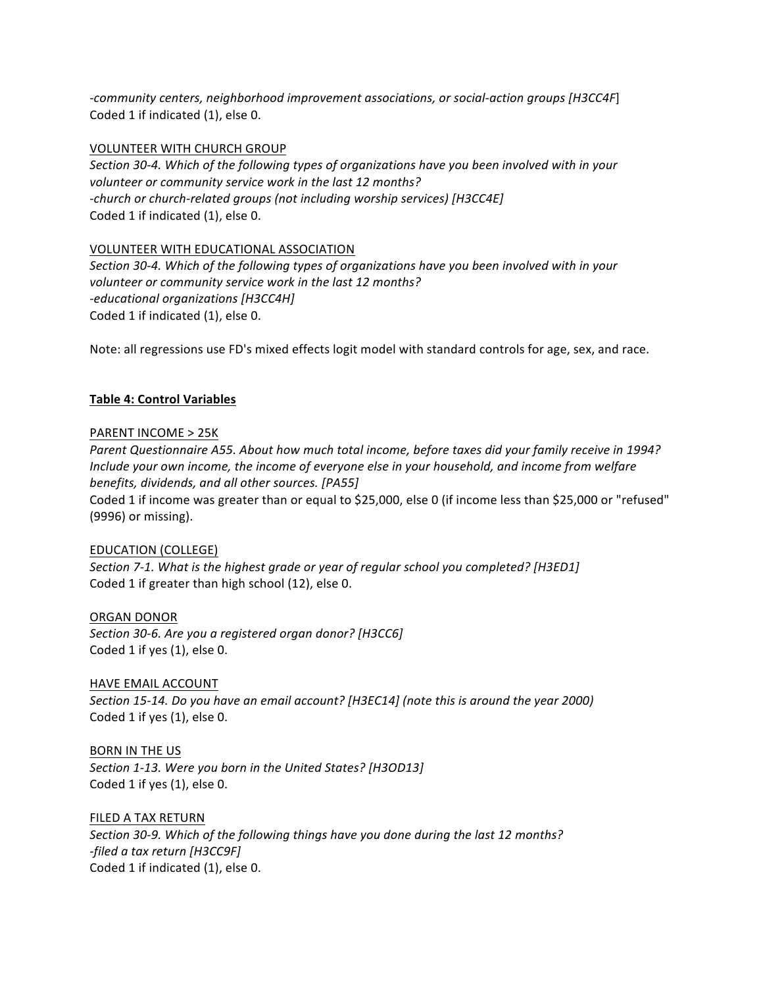*-community centers, neighborhood improvement associations, or social-action groups [H3CC4F*] Coded 1 if indicated (1), else 0.

#### VOLUNTEER WITH CHURCH GROUP

Section 30-4. Which of the following types of organizations have you been involved with in your *volunteer or community service work in the last 12 months?* -church or church-related groups (not including worship services) [H3CC4E] Coded 1 if indicated (1), else 0.

## VOLUNTEER WITH EDUCATIONAL ASSOCIATION

Section 30-4. Which of the following types of organizations have you been involved with in your *volunteer or community service work in the last 12 months? -educational organizations [H3CC4H]* Coded 1 if indicated (1), else 0.

Note: all regressions use FD's mixed effects logit model with standard controls for age, sex, and race.

## **Table 4: Control Variables**

## PARENT INCOME > 25K

Parent Questionnaire A55. About how much total income, before taxes did your family receive in 1994? *Include your own income, the income of everyone else in your household, and income from welfare benefits, dividends, and all other sources.* [PA55]

Coded 1 if income was greater than or equal to \$25,000, else 0 (if income less than \$25,000 or "refused" (9996) or missing).

## EDUCATION (COLLEGE)

Section 7-1. What is the highest grade or year of regular school you completed? [H3ED1] Coded 1 if greater than high school (12), else 0.

## ORGAN DONOR

Section 30-6. Are you a registered organ donor? [H3CC6] Coded 1 if yes (1), else 0.

## HAVE EMAIL ACCOUNT

Section 15-14. Do you have an email account? [H3EC14] (note this is around the year 2000) Coded 1 if yes  $(1)$ , else 0.

# **BORN IN THE US**

Section 1-13. Were you born in the United States? [H3OD13] Coded 1 if yes  $(1)$ , else 0.

## FILED A TAX RETURN

Section 30-9. Which of the following things have you done during the last 12 months? *-filed a tax return [H3CC9F]* Coded 1 if indicated (1), else 0.